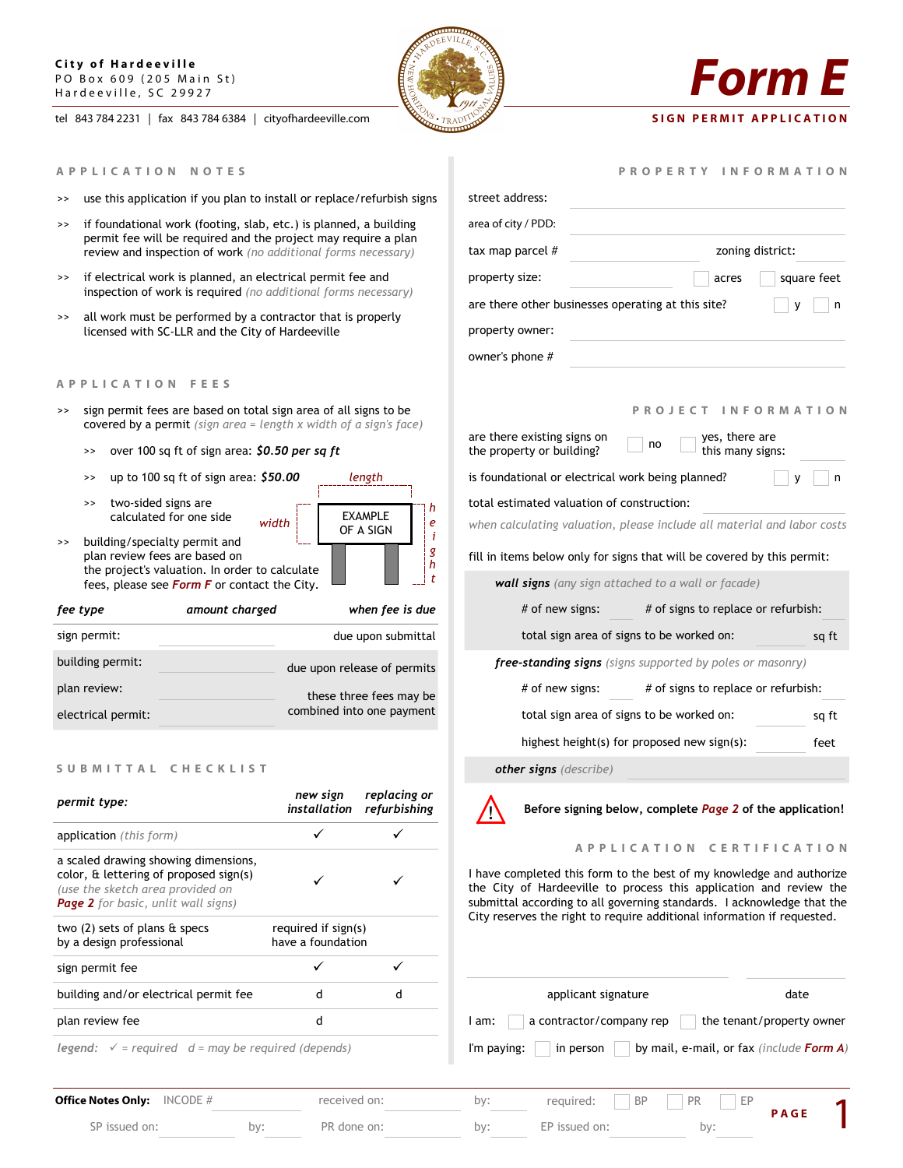# **City of Hardeeville** PO Box 609 (205 Main St) Hardeeville, SC 29927

tel 843 784 2231 | fax 843 784 6384 | cityofhardeeville.com

# **A P P L I C A T I O N N O T E S**

- >> use this application if you plan to install or replace/refurbish signs
- >> if foundational work (footing, slab, etc.) is planned, a building permit fee will be required and the project may require a plan review and inspection of work *(no additional forms necessary)*
- if electrical work is planned, an electrical permit fee and inspection of work is required *(no additional forms necessary)* >>
- >> all work must be performed by a contractor that is properly licensed with SC-LLR and the City of Hardeeville

### **A P P L I C A T I O N F E E S**

>> sign permit fees are based on total sign area of all signs to be covered by a permit *(sign area = length x width of a sign's face)*

*width*

- over 100 sq ft of sign area: *\$0.50 per sq ft* >>
- up to 100 sq ft of sign area: *\$50.00* >>
- >> two-sided signs are calculated for one side



building/specialty permit and plan review fees are based on the project's valuation. In order to calculate fees, please see *Form F* or contact the City. >>

### *fee type amount charged*

*when fee is due*

| sign permit:       | due upon submittal          |
|--------------------|-----------------------------|
| building permit:   | due upon release of permits |
| plan review:       | these three fees may be     |
| electrical permit: | combined into one payment   |

### S U B M I T T A L C H E C K L I S T

| permit type:                                                                                                                                                      | new sign<br>installation                 | replacing or<br>refurbishing |  |
|-------------------------------------------------------------------------------------------------------------------------------------------------------------------|------------------------------------------|------------------------------|--|
| application (this form)                                                                                                                                           |                                          |                              |  |
| a scaled drawing showing dimensions,<br>color, $\hat{a}$ lettering of proposed sign(s)<br>(use the sketch area provided on<br>Page 2 for basic, unlit wall signs) |                                          |                              |  |
| two $(2)$ sets of plans $\theta$ specs<br>by a design professional                                                                                                | required if sign(s)<br>have a foundation |                              |  |
| sign permit fee                                                                                                                                                   |                                          |                              |  |
| building and/or electrical permit fee                                                                                                                             | d                                        | d                            |  |
| plan review fee                                                                                                                                                   | d                                        |                              |  |
|                                                                                                                                                                   |                                          |                              |  |

*legend: = required d = may be required (depends)*



# **SIGN PERMIT APPLICATION** *Form E*

**P R O P E R T Y I N F O R M A T I O N**

| street address:                                                         |                                             |                                     |                                    |                    |                           |
|-------------------------------------------------------------------------|---------------------------------------------|-------------------------------------|------------------------------------|--------------------|---------------------------|
| area of city / PDD:                                                     |                                             |                                     |                                    |                    | $\vert \bm{\nabla} \vert$ |
| tax map parcel #                                                        |                                             |                                     | zoning district:                   |                    |                           |
| property size:                                                          |                                             |                                     | acres                              |                    | square feet               |
| are there other businesses operating at this site?                      |                                             |                                     |                                    | ٧                  | n                         |
| property owner:                                                         |                                             |                                     |                                    |                    |                           |
| owner's phone #                                                         |                                             |                                     |                                    |                    |                           |
|                                                                         |                                             |                                     |                                    |                    |                           |
|                                                                         |                                             | PROJECT                             |                                    | <b>INFORMATION</b> |                           |
| are there existing signs on<br>the property or building?                |                                             | no                                  | yes, there are<br>this many signs: |                    |                           |
| is foundational or electrical work being planned?                       |                                             |                                     |                                    | у                  | n                         |
| total estimated valuation of construction:                              |                                             |                                     |                                    |                    |                           |
| when calculating valuation, please include all material and labor costs |                                             |                                     |                                    |                    |                           |
| fill in items below only for signs that will be covered by this permit: |                                             |                                     |                                    |                    |                           |
| <b>wall signs</b> (any sign attached to a wall or facade)               |                                             |                                     |                                    |                    |                           |
| # of new signs:                                                         |                                             | # of signs to replace or refurbish: |                                    |                    |                           |
|                                                                         | total sign area of signs to be worked on:   |                                     |                                    |                    | sq ft                     |
| <b>free-standing signs</b> (signs supported by poles or masonry)        |                                             |                                     |                                    |                    |                           |
| # of new signs:                                                         |                                             | # of signs to replace or refurbish: |                                    |                    |                           |
|                                                                         | total sign area of signs to be worked on:   |                                     |                                    |                    | sq ft                     |
|                                                                         | highest height(s) for proposed new sign(s): |                                     |                                    |                    | feet                      |
| other signs (describe)                                                  |                                             |                                     |                                    |                    |                           |



### **Before signing below, complete** *Page 2* **of the application!** !.

### **A P P L I C A T I O N C E R T I F I C A T I O N**

I have completed this form to the best of my knowledge and authorize the City of Hardeeville to process this application and review the submittal according to all governing standards. I acknowledge that the City reserves the right to require additional information if requested.

| applicant signature               | date                                            |
|-----------------------------------|-------------------------------------------------|
| a contractor/company rep<br>l am: | the tenant/property owner                       |
| I'm paying:<br>in person          | by mail, e-mail, or fax <i>(include Form A)</i> |

| <b>Office Notes Only:</b> INCODE # |     | received on: | by: | BP B<br>reguired: | PR<br>$E$ P |      |
|------------------------------------|-----|--------------|-----|-------------------|-------------|------|
| SP issued on:                      | bv: | PR done on:  | bv: | EP issued on:     | bv:         | PAGE |